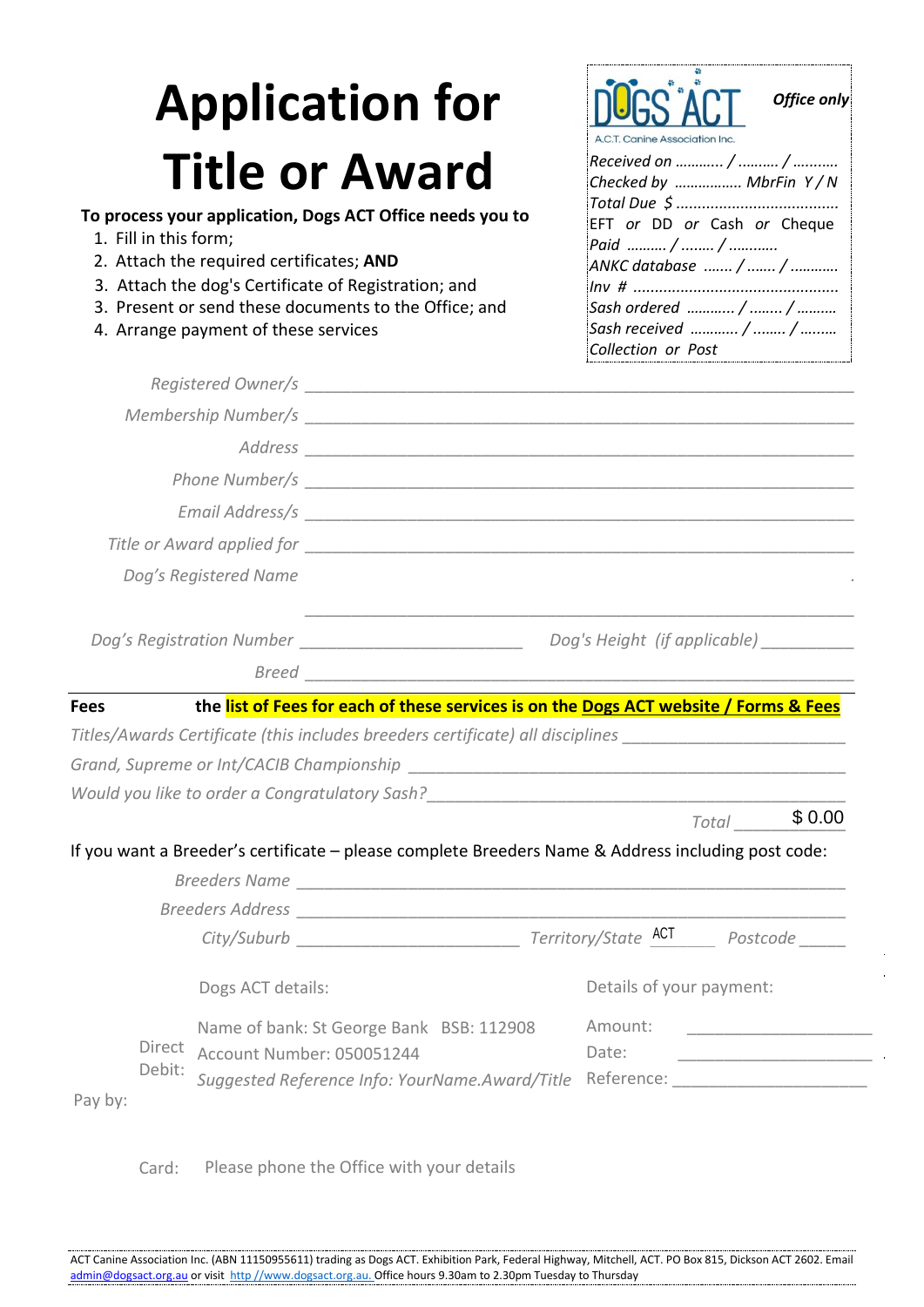## **Application for Title or Award**

## **To process your application, Dogs ACT Office needs you to**

- 1. Fill in this form;
- 2. Attach the required certificates; **AND**
- 3. Attach the dog's Certificate of Registration; and
- 3. Present or send these documents to the Office; and
- 4. Arrange payment of these services

| <b>NOGS ACT</b><br>Office only<br>A.C.T. Canine Association Inc. |
|------------------------------------------------------------------|
|                                                                  |
| Checked by  MbrFin Y/N                                           |
|                                                                  |
| EFT or DD or Cash or Cheque                                      |
| Paid  /  /                                                       |
|                                                                  |
|                                                                  |
| Sash ordered  /  /                                               |
| Sash received  /  /                                              |
| Collection or Post                                               |

|             |                  | Dog's Registered Name                                                                                          |         |                          |                                           |
|-------------|------------------|----------------------------------------------------------------------------------------------------------------|---------|--------------------------|-------------------------------------------|
|             |                  |                                                                                                                |         |                          | Dog's Height (if applicable) _________    |
|             |                  |                                                                                                                |         |                          |                                           |
| <b>Fees</b> |                  | the list of Fees for each of these services is on the Dogs ACT website / Forms & Fees                          |         |                          |                                           |
|             |                  | Titles/Awards Certificate (this includes breeders certificate) all disciplines _______________________________ |         |                          |                                           |
|             |                  |                                                                                                                |         |                          |                                           |
|             |                  | Would you like to order a Congratulatory Sash?___________________________________                              |         |                          |                                           |
|             |                  |                                                                                                                |         | Total                    | \$0.00                                    |
|             |                  | If you want a Breeder's certificate - please complete Breeders Name & Address including post code:             |         |                          |                                           |
|             |                  |                                                                                                                |         |                          |                                           |
|             |                  |                                                                                                                |         |                          |                                           |
|             |                  |                                                                                                                |         |                          |                                           |
|             |                  | Dogs ACT details:                                                                                              |         | Details of your payment: |                                           |
|             |                  |                                                                                                                |         |                          |                                           |
|             |                  | Name of bank: St George Bank BSB: 112908                                                                       | Amount: |                          |                                           |
|             | Direct<br>Debit: | Account Number: 050051244                                                                                      | Date:   |                          | <u> 1980 - Andrea Andrew Maria (h. 19</u> |

Card: Please phone the Office with your details